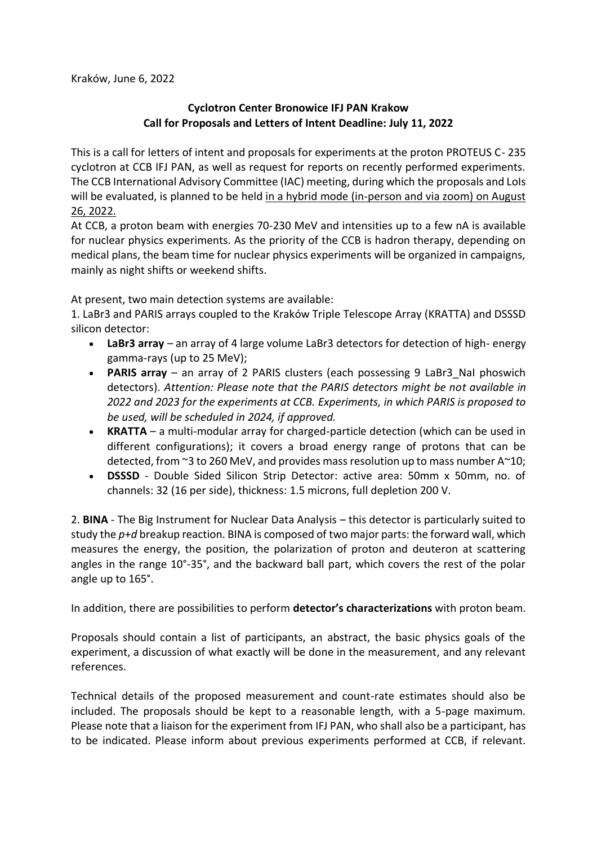## **Cyclotron Center Bronowice IFJ PAN Krakow Call for Proposals and Letters of Intent Deadline: July 11, 2022**

This is a call for letters of intent and proposals for experiments at the proton PROTEUS C- 235 cyclotron at CCB IFJ PAN, as well as request for reports on recently performed experiments. The CCB International Advisory Committee (IAC) meeting, during which the proposals and LoIs will be evaluated, is planned to be held in a hybrid mode (in-person and via zoom) on August 26, 2022.

At CCB, a proton beam with energies 70-230 MeV and intensities up to a few nA is available for nuclear physics experiments. As the priority of the CCB is hadron therapy, depending on medical plans, the beam time for nuclear physics experiments will be organized in campaigns, mainly as night shifts or weekend shifts.

At present, two main detection systems are available:

1. LaBr3 and PARIS arrays coupled to the Kraków Triple Telescope Array (KRATTA) and DSSSD silicon detector:

- **LaBr3 array** an array of 4 large volume LaBr3 detectors for detection of high- energy gamma-rays (up to 25 MeV);
- **PARIS array** an array of 2 PARIS clusters (each possessing 9 LaBr3 NaI phoswich detectors). *Attention: Please note that the PARIS detectors might be not available in 2022 and 2023 for the experiments at CCB. Experiments, in which PARIS is proposed to be used, will be scheduled in 2024, if approved.*
- **KRATTA**  a multi-modular array for charged-particle detection (which can be used in different configurations); it covers a broad energy range of protons that can be detected, from ~3 to 260 MeV, and provides mass resolution up to mass number A~10;
- **DSSSD** Double Sided Silicon Strip Detector: active area: 50mm x 50mm, no. of channels: 32 (16 per side), thickness: 1.5 microns, full depletion 200 V.

2. **BINA** - The Big Instrument for Nuclear Data Analysis – this detector is particularly suited to study the *p*+*d* breakup reaction. BINA is composed of two major parts: the forward wall, which measures the energy, the position, the polarization of proton and deuteron at scattering angles in the range 10°-35°, and the backward ball part, which covers the rest of the polar angle up to 165°.

In addition, there are possibilities to perform **detector's characterizations** with proton beam.

Proposals should contain a list of participants, an abstract, the basic physics goals of the experiment, a discussion of what exactly will be done in the measurement, and any relevant references.

Technical details of the proposed measurement and count-rate estimates should also be included. The proposals should be kept to a reasonable length, with a 5-page maximum. Please note that a liaison for the experiment from IFJ PAN, who shall also be a participant, has to be indicated. Please inform about previous experiments performed at CCB, if relevant.